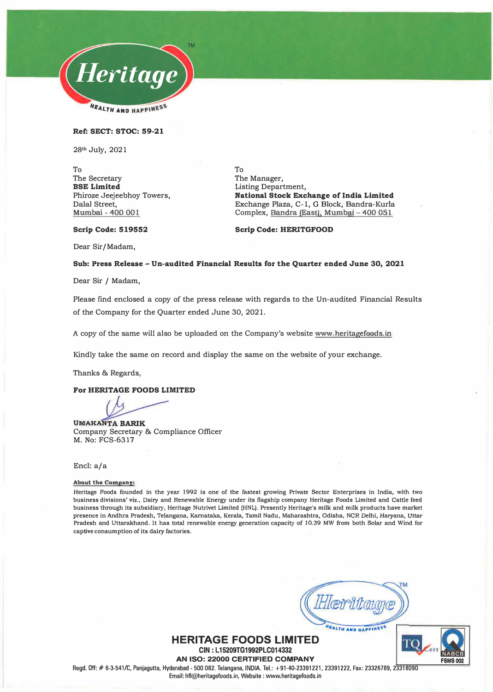

**Ref: SECT: STOC: 59-21** 

**28th July, 2021** 

**To The Secretary BSE Limited Phiroze Jeejeebhoy Towers, Dalal Street, Mumbai - 400 001** 

**To The Manager, Listing Department, National Stock Exchange of India Limited Exchange Plaza, C-1, G Block, Bandra-Kurla Complex, Sandra (East), Mumbai - 400 05 I** 

**Scrip Code: 519552** 

Scrip Code: HERITGFOOD

**Dear Sir/Madam,** 

### **Sub: Press Release - Un-audited Financial Results for the Quarter ended June 30, 2021**

**Dear Sir / Madam,** 

**Please find enclosed a copy of the press release with regards to the Un-audited Financial Results of the Company for the Quarter ended June 30, 2021.** 

**A copy of the same will also be uploaded on the Company's website www.heritagefoods.in** 

**Kindly take the same on record and display the same on the website of your exchange.** 

**Thanks & Regards,** 

### **For HERITAGE FOODS LIMITED**

**UMAKANTA BARIK Company Secretary & Compliance Officer M. No: FCS-6317**

#### **Encl: a/a**

### **About the Company:**

**Heritage Foods founded in the year 1992 is one of the fastest growing Private Sector Enterprises in India, with two business divisions' viz., Dairy and Renewable Energy under its flagship company Heritage Foods Limited and Cattle feed business through its subsidiary, Heritage Nutrivet Limited (HNL). Presently Heritage's milk and milk products have market presence in Andhra Pradesh, Telangana, Kamataka, Kerala, Tamil Nadu, Maharashtra, Odisha, NCR Delhi, Haryana, Uttar Pradesh and Uttarakhand. It has total renewable energy generation capacity of 10.39 MW from both Solar and Wind for captive consumption of its dairy factories.** 

**FALTH AND HAPPINESS** 



TC **FSMS002** 

Regd. Off:# 6-3-541/C, Panjagutta, Hyderabad- 500 082. Telangana, INDIA. Tel.: +91-40-23391221, 23391222, Fax: 23326789, 23318090 Email: hfl@heritagefoods.in, Website : www.heritagefoods.in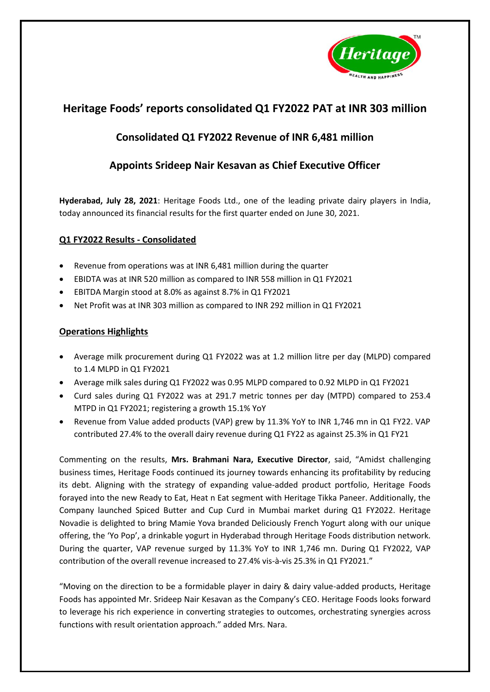

# **Heritage Foods' reports consolidated Q1 FY2022 PAT at INR 303 million**

# **Consolidated Q1 FY2022 Revenue of INR 6,481 million**

# **Appoints Srideep Nair Kesavan as Chief Executive Officer**

**Hyderabad, July 28, 2021**: Heritage Foods Ltd., one of the leading private dairy players in India, today announced its financial results for the first quarter ended on June 30, 2021.

# **Q1 FY2022 Results - Consolidated**

- Revenue from operations was at INR 6,481 million during the quarter
- EBIDTA was at INR 520 million as compared to INR 558 million in Q1 FY2021
- EBITDA Margin stood at 8.0% as against 8.7% in Q1 FY2021
- Net Profit was at INR 303 million as compared to INR 292 million in Q1 FY2021

# **Operations Highlights**

- Average milk procurement during Q1 FY2022 was at 1.2 million litre per day (MLPD) compared to 1.4 MLPD in Q1 FY2021
- Average milk sales during Q1 FY2022 was 0.95 MLPD compared to 0.92 MLPD in Q1 FY2021
- Curd sales during Q1 FY2022 was at 291.7 metric tonnes per day (MTPD) compared to 253.4 MTPD in Q1 FY2021; registering a growth 15.1% YoY
- Revenue from Value added products (VAP) grew by 11.3% YoY to INR 1,746 mn in Q1 FY22. VAP contributed 27.4% to the overall dairy revenue during Q1 FY22 as against 25.3% in Q1 FY21

Commenting on the results, **Mrs. Brahmani Nara, Executive Director**, said, "Amidst challenging business times, Heritage Foods continued its journey towards enhancing its profitability by reducing its debt. Aligning with the strategy of expanding value-added product portfolio, Heritage Foods forayed into the new Ready to Eat, Heat n Eat segment with Heritage Tikka Paneer. Additionally, the Company launched Spiced Butter and Cup Curd in Mumbai market during Q1 FY2022. Heritage Novadie is delighted to bring Mamie Yova branded Deliciously French Yogurt along with our unique offering, the 'Yo Pop', a drinkable yogurt in Hyderabad through Heritage Foods distribution network. During the quarter, VAP revenue surged by 11.3% YoY to INR 1,746 mn. During Q1 FY2022, VAP contribution of the overall revenue increased to 27.4% vis-à-vis 25.3% in Q1 FY2021."

"Moving on the direction to be a formidable player in dairy & dairy value-added products, Heritage Foods has appointed Mr. Srideep Nair Kesavan as the Company's CEO. Heritage Foods looks forward to leverage his rich experience in converting strategies to outcomes, orchestrating synergies across functions with result orientation approach." added Mrs. Nara.